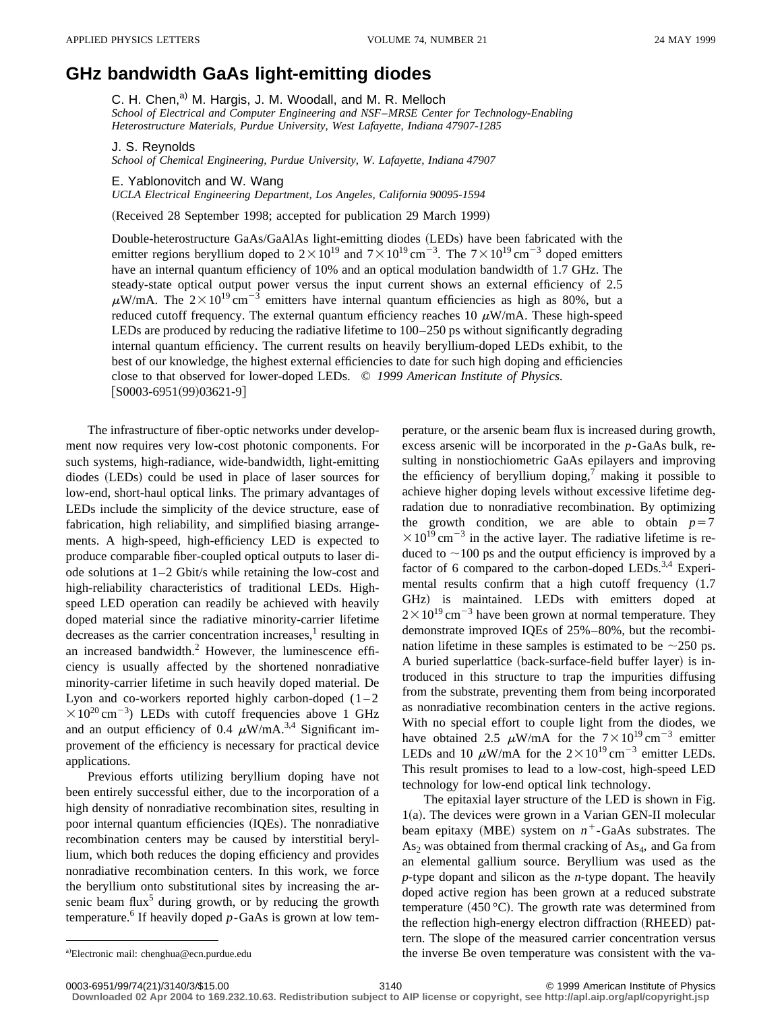## **GHz bandwidth GaAs light-emitting diodes**

C. H. Chen,<sup>a)</sup> M. Hargis, J. M. Woodall, and M. R. Melloch *School of Electrical and Computer Engineering and NSF*–*MRSE Center for Technology-Enabling Heterostructure Materials, Purdue University, West Lafayette, Indiana 47907-1285*

J. S. Reynolds

*School of Chemical Engineering, Purdue University, W. Lafayette, Indiana 47907*

E. Yablonovitch and W. Wang

*UCLA Electrical Engineering Department, Los Angeles, California 90095-1594*

(Received 28 September 1998; accepted for publication 29 March 1999)

Double-heterostructure GaAs/GaAlAs light-emitting diodes (LEDs) have been fabricated with the emitter regions beryllium doped to  $2\times10^{19}$  and  $7\times10^{19}$  cm<sup>-3</sup>. The  $7\times10^{19}$  cm<sup>-3</sup> doped emitters have an internal quantum efficiency of 10% and an optical modulation bandwidth of 1.7 GHz. The steady-state optical output power versus the input current shows an external efficiency of 2.5  $\mu$ W/mA. The  $2\times10^{19}$  cm<sup>-3</sup> emitters have internal quantum efficiencies as high as 80%, but a reduced cutoff frequency. The external quantum efficiency reaches 10  $\mu$ W/mA. These high-speed LEDs are produced by reducing the radiative lifetime to 100–250 ps without significantly degrading internal quantum efficiency. The current results on heavily beryllium-doped LEDs exhibit, to the best of our knowledge, the highest external efficiencies to date for such high doping and efficiencies close to that observed for lower-doped LEDs. © *1999 American Institute of Physics.*  $[50003-6951(99)03621-9]$ 

The infrastructure of fiber-optic networks under development now requires very low-cost photonic components. For such systems, high-radiance, wide-bandwidth, light-emitting diodes (LEDs) could be used in place of laser sources for low-end, short-haul optical links. The primary advantages of LEDs include the simplicity of the device structure, ease of fabrication, high reliability, and simplified biasing arrangements. A high-speed, high-efficiency LED is expected to produce comparable fiber-coupled optical outputs to laser diode solutions at 1–2 Gbit/s while retaining the low-cost and high-reliability characteristics of traditional LEDs. Highspeed LED operation can readily be achieved with heavily doped material since the radiative minority-carrier lifetime decreases as the carrier concentration increases, $<sup>1</sup>$  resulting in</sup> an increased bandwidth.<sup>2</sup> However, the luminescence efficiency is usually affected by the shortened nonradiative minority-carrier lifetime in such heavily doped material. De Lyon and co-workers reported highly carbon-doped  $(1-2)$  $\times 10^{20}$  cm<sup>-3</sup>) LEDs with cutoff frequencies above 1 GHz and an output efficiency of 0.4  $\mu$ W/mA.<sup>3,4</sup> Significant improvement of the efficiency is necessary for practical device applications.

Previous efforts utilizing beryllium doping have not been entirely successful either, due to the incorporation of a high density of nonradiative recombination sites, resulting in poor internal quantum efficiencies (IQEs). The nonradiative recombination centers may be caused by interstitial beryllium, which both reduces the doping efficiency and provides nonradiative recombination centers. In this work, we force the beryllium onto substitutional sites by increasing the arsenic beam flux<sup>5</sup> during growth, or by reducing the growth temperature.<sup>6</sup> If heavily doped  $p$ -GaAs is grown at low tem-

perature, or the arsenic beam flux is increased during growth, excess arsenic will be incorporated in the *p*-GaAs bulk, resulting in nonstiochiometric GaAs epilayers and improving the efficiency of beryllium doping, $\frac{7}{1}$  making it possible to achieve higher doping levels without excessive lifetime degradation due to nonradiative recombination. By optimizing the growth condition, we are able to obtain  $p=7$  $\times 10^{19}$  cm<sup>-3</sup> in the active layer. The radiative lifetime is reduced to  $\sim$ 100 ps and the output efficiency is improved by a factor of 6 compared to the carbon-doped LEDs. $3,4$  Experimental results confirm that a high cutoff frequency  $(1.7)$ GHz) is maintained. LEDs with emitters doped at  $2 \times 10^{19}$  cm<sup>-3</sup> have been grown at normal temperature. They demonstrate improved IQEs of 25%–80%, but the recombination lifetime in these samples is estimated to be  $\sim$ 250 ps. A buried superlattice (back-surface-field buffer layer) is introduced in this structure to trap the impurities diffusing from the substrate, preventing them from being incorporated as nonradiative recombination centers in the active regions. With no special effort to couple light from the diodes, we have obtained 2.5  $\mu$ W/mA for the  $7 \times 10^{19}$  cm<sup>-3</sup> emitter LEDs and 10  $\mu$ W/mA for the 2×10<sup>19</sup> cm<sup>-3</sup> emitter LEDs. This result promises to lead to a low-cost, high-speed LED technology for low-end optical link technology.

The epitaxial layer structure of the LED is shown in Fig.  $1(a)$ . The devices were grown in a Varian GEN-II molecular beam epitaxy (MBE) system on  $n^+$ -GaAs substrates. The  $As<sub>2</sub>$  was obtained from thermal cracking of As<sub>4</sub>, and Ga from an elemental gallium source. Beryllium was used as the *p*-type dopant and silicon as the *n*-type dopant. The heavily doped active region has been grown at a reduced substrate temperature  $(450 °C)$ . The growth rate was determined from the reflection high-energy electron diffraction (RHEED) pattern. The slope of the measured carrier concentration versus the inverse Be oven temperature was consistent with the va-

a)Electronic mail: chenghua@ecn.purdue.edu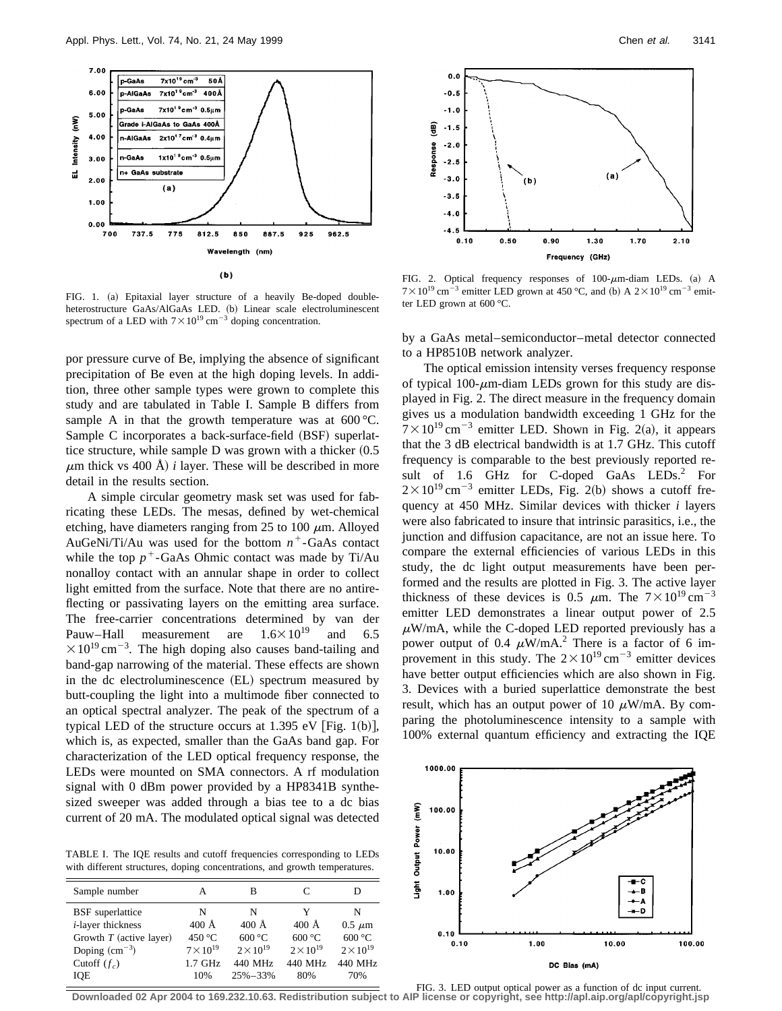

FIG. 1. (a) Epitaxial layer structure of a heavily Be-doped doubleheterostructure GaAs/AlGaAs LED. (b) Linear scale electroluminescent spectrum of a LED with  $7 \times 10^{19}$  cm<sup>-3</sup> doping concentration.

por pressure curve of Be, implying the absence of significant precipitation of Be even at the high doping levels. In addition, three other sample types were grown to complete this study and are tabulated in Table I. Sample B differs from sample A in that the growth temperature was at  $600^{\circ}$ C. Sample C incorporates a back-surface-field (BSF) superlattice structure, while sample  $D$  was grown with a thicker  $(0.5)$  $\mu$ m thick vs 400 Å) *i* layer. These will be described in more detail in the results section.

A simple circular geometry mask set was used for fabricating these LEDs. The mesas, defined by wet-chemical etching, have diameters ranging from 25 to 100  $\mu$ m. Alloyed AuGeNi/Ti/Au was used for the bottom  $n^+$ -GaAs contact while the top  $p^+$ -GaAs Ohmic contact was made by Ti/Au nonalloy contact with an annular shape in order to collect light emitted from the surface. Note that there are no antireflecting or passivating layers on the emitting area surface. The free-carrier concentrations determined by van der Pauw–Hall measurement are  $1.6 \times 10^{19}$  and 6.5  $\times 10^{19}$  cm<sup>-3</sup>. The high doping also causes band-tailing and band-gap narrowing of the material. These effects are shown in the dc electroluminescence (EL) spectrum measured by butt-coupling the light into a multimode fiber connected to an optical spectral analyzer. The peak of the spectrum of a typical LED of the structure occurs at 1.395 eV [Fig. 1(b)], which is, as expected, smaller than the GaAs band gap. For characterization of the LED optical frequency response, the LEDs were mounted on SMA connectors. A rf modulation signal with 0 dBm power provided by a HP8341B synthesized sweeper was added through a bias tee to a dc bias current of 20 mA. The modulated optical signal was detected

TABLE I. The IQE results and cutoff frequencies corresponding to LEDs with different structures, doping concentrations, and growth temperatures.

| Sample number             | А                | в                  |                    | D                  |
|---------------------------|------------------|--------------------|--------------------|--------------------|
| <b>BSF</b> superlattice   | N                | N                  | Y                  | N                  |
| <i>i</i> -layer thickness | $400 \text{ Å}$  | $400 \text{ Å}$    | $400 \text{ Å}$    | $0.5 \mu m$        |
| Growth $T$ (active layer) | 450 °C           | 600 °C             | 600 °C             | 600 °C             |
| Doping $\rm(cm^{-3})$     | $7\times10^{19}$ | $2 \times 10^{19}$ | $2 \times 10^{19}$ | $2 \times 10^{19}$ |
| Cutoff $(f_c)$            | $1.7$ GHz        | 440 MHz            | 440 MHz            | 440 MHz            |
| IOE                       | 10%              | $25\% - 33\%$      | 80%                | 70%                |
|                           |                  |                    |                    |                    |



FIG. 2. Optical frequency responses of  $100$ - $\mu$ m-diam LEDs. (a) A  $7 \times 10^{19}$  cm<sup>-3</sup> emitter LED grown at 450 °C, and (b) A  $2 \times 10^{19}$  cm<sup>-3</sup> emitter LED grown at 600 °C.

by a GaAs metal–semiconductor–metal detector connected to a HP8510B network analyzer.

The optical emission intensity verses frequency response of typical 100- $\mu$ m-diam LEDs grown for this study are displayed in Fig. 2. The direct measure in the frequency domain gives us a modulation bandwidth exceeding 1 GHz for the  $7 \times 10^{19}$  cm<sup>-3</sup> emitter LED. Shown in Fig. 2(a), it appears that the 3 dB electrical bandwidth is at 1.7 GHz. This cutoff frequency is comparable to the best previously reported result of 1.6 GHz for C-doped GaAs  $LEDs^2$  For  $2 \times 10^{19}$  cm<sup>-3</sup> emitter LEDs, Fig. 2(b) shows a cutoff frequency at 450 MHz. Similar devices with thicker *i* layers were also fabricated to insure that intrinsic parasitics, i.e., the junction and diffusion capacitance, are not an issue here. To compare the external efficiencies of various LEDs in this study, the dc light output measurements have been performed and the results are plotted in Fig. 3. The active layer thickness of these devices is 0.5  $\mu$ m. The 7×10<sup>19</sup> cm<sup>-3</sup> emitter LED demonstrates a linear output power of 2.5  $\mu$ W/mA, while the C-doped LED reported previously has a power output of 0.4  $\mu$ W/mA.<sup>2</sup> There is a factor of 6 improvement in this study. The  $2\times10^{19}$  cm<sup>-3</sup> emitter devices have better output efficiencies which are also shown in Fig. 3. Devices with a buried superlattice demonstrate the best result, which has an output power of 10  $\mu$ W/mA. By comparing the photoluminescence intensity to a sample with 100% external quantum efficiency and extracting the IQE



FIG. 3. LED output optical power as a function of dc input current.